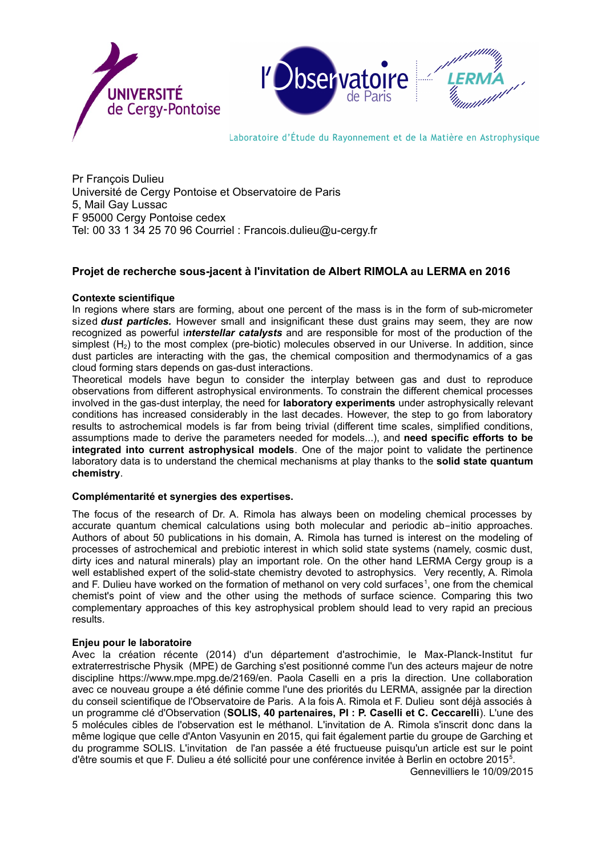

Pr François Dulieu Université de Cergy Pontoise et Observatoire de Paris 5, Mail Gay Lussac F 95000 Cergy Pontoise cedex Tel: 00 33 1 34 25 70 96 Courriel : Francois.dulieu@u-cergy.fr

# **Projet de recherche sous-jacent à l'invitation de Albert RIMOLA au LERMA en 2016**

### **Contexte scientifique**

In regions where stars are forming, about one percent of the mass is in the form of sub-micrometer sized *dust particles.* However small and insignificant these dust grains may seem, they are now recognized as powerful i*nterstellar catalysts* and are responsible for most of the production of the simplest  $(H<sub>2</sub>)$  to the most complex (pre-biotic) molecules observed in our Universe. In addition, since dust particles are interacting with the gas, the chemical composition and thermodynamics of a gas cloud forming stars depends on gas-dust interactions.

Theoretical models have begun to consider the interplay between gas and dust to reproduce observations from different astrophysical environments. To constrain the different chemical processes involved in the gas-dust interplay, the need for **laboratory experiments** under astrophysically relevant conditions has increased considerably in the last decades. However, the step to go from laboratory results to astrochemical models is far from being trivial (different time scales, simplified conditions, assumptions made to derive the parameters needed for models...), and **need specific efforts to be integrated into current astrophysical models**. One of the major point to validate the pertinence laboratory data is to understand the chemical mechanisms at play thanks to the **solid state quantum chemistry**.

### **Complémentarité et synergies des expertises.**

The focus of the research of Dr. A. Rimola has always been on modeling chemical processes by accurate quantum chemical calculations using both molecular and periodic ab-initio approaches. Authors of about 50 publications in his domain, A. Rimola has turned is interest on the modeling of processes of astrochemical and prebiotic interest in which solid state systems (namely, cosmic dust, dirty ices and natural minerals) play an important role. On the other hand LERMA Cergy group is a well established expert of the solid-state chemistry devoted to astrophysics. Very recently, A. Rimola and F. Dulieu have worked on the formation of methanol on very cold surfaces<sup>1</sup>, one from the chemical chemist's point of view and the other using the methods of surface science. Comparing this two complementary approaches of this key astrophysical problem should lead to very rapid an precious results.

### **Enjeu pour le laboratoire**

Avec la création récente (2014) d'un département d'astrochimie, le Max-Planck-Institut fur extraterrestrische Physik (MPE) de Garching s'est positionné comme l'un des acteurs majeur de notre discipline https://www.mpe.mpg.de/2169/en. Paola Caselli en a pris la direction. Une collaboration avec ce nouveau groupe a été définie comme l'une des priorités du LERMA, assignée par la direction du conseil scientifique de l'Observatoire de Paris. A la fois A. Rimola et F. Dulieu sont déjà associés à un programme clé d'Observation (**SOLIS, 40 partenaires, PI : P. Caselli et C. Ceccarelli**). L'une des 5 molécules cibles de l'observation est le méthanol. L'invitation de A. Rimola s'inscrit donc dans la même logique que celle d'Anton Vasyunin en 2015, qui fait également partie du groupe de Garching et du programme SOLIS. L'invitation de l'an passée a été fructueuse puisqu'un article est sur le point d'être soumis et que F. Dulieu a été sollicité pour une conférence invitée à Berlin en octobre 2015<sup>5</sup> .

Gennevilliers le 10/09/2015